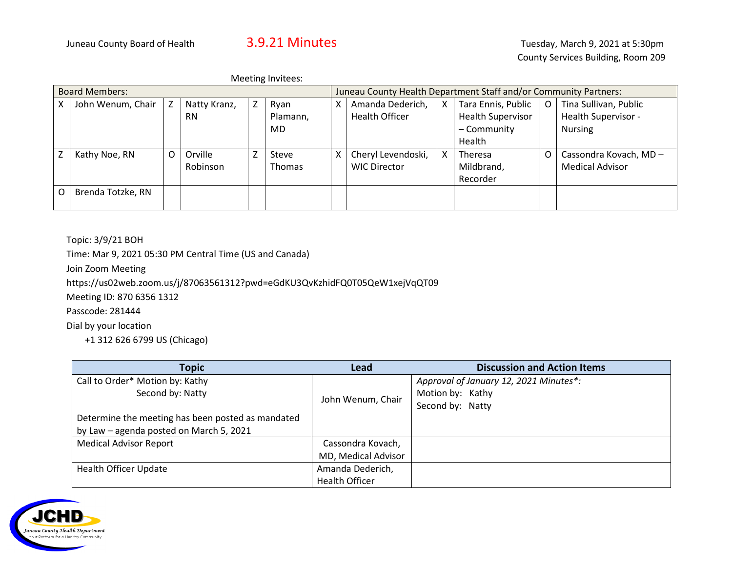| <b>Board Members:</b> |                   |   |              | Juneau County Health Department Staff and/or Community Partners: |               |   |                       |   |                          |   |                        |
|-----------------------|-------------------|---|--------------|------------------------------------------------------------------|---------------|---|-----------------------|---|--------------------------|---|------------------------|
|                       | John Wenum, Chair | Z | Natty Kranz, | Ζ                                                                | Ryan          | X | Amanda Dederich,      | X | Tara Ennis, Public       | O | Tina Sullivan, Public  |
|                       |                   |   | <b>RN</b>    |                                                                  | Plamann,      |   | <b>Health Officer</b> |   | <b>Health Supervisor</b> |   | Health Supervisor -    |
|                       |                   |   |              |                                                                  | MD.           |   |                       |   | - Community              |   | <b>Nursing</b>         |
|                       |                   |   |              |                                                                  |               |   |                       |   | Health                   |   |                        |
|                       | Kathy Noe, RN     | O | Orville      |                                                                  | Steve         | х | Cheryl Levendoski,    | X | Theresa                  |   | Cassondra Kovach, MD - |
|                       |                   |   | Robinson     |                                                                  | <b>Thomas</b> |   | <b>WIC Director</b>   |   | Mildbrand,               |   | <b>Medical Advisor</b> |
|                       |                   |   |              |                                                                  |               |   |                       |   | Recorder                 |   |                        |
| Ω                     | Brenda Totzke, RN |   |              |                                                                  |               |   |                       |   |                          |   |                        |
|                       |                   |   |              |                                                                  |               |   |                       |   |                          |   |                        |

Topic: 3/9/21 BOH

Time: Mar 9, 2021 05:30 PM Central Time (US and Canada)

Join Zoom Meeting

https://us02web.zoom.us/j/87063561312?pwd=eGdKU3QvKzhidFQ0T05QeW1xejVqQT09

Meeting ID: 870 6356 1312

Passcode: 281444

Dial by your location

+1 312 626 6799 US (Chicago)

| <b>Topic</b>                                      | <b>Lead</b>           | <b>Discussion and Action Items</b>     |
|---------------------------------------------------|-----------------------|----------------------------------------|
| Call to Order* Motion by: Kathy                   |                       | Approval of January 12, 2021 Minutes*: |
| Second by: Natty                                  | John Wenum, Chair     | Motion by: Kathy                       |
|                                                   |                       | Second by: Natty                       |
| Determine the meeting has been posted as mandated |                       |                                        |
| by Law - agenda posted on March 5, 2021           |                       |                                        |
| <b>Medical Advisor Report</b>                     | Cassondra Kovach,     |                                        |
|                                                   | MD, Medical Advisor   |                                        |
| <b>Health Officer Update</b>                      | Amanda Dederich,      |                                        |
|                                                   | <b>Health Officer</b> |                                        |

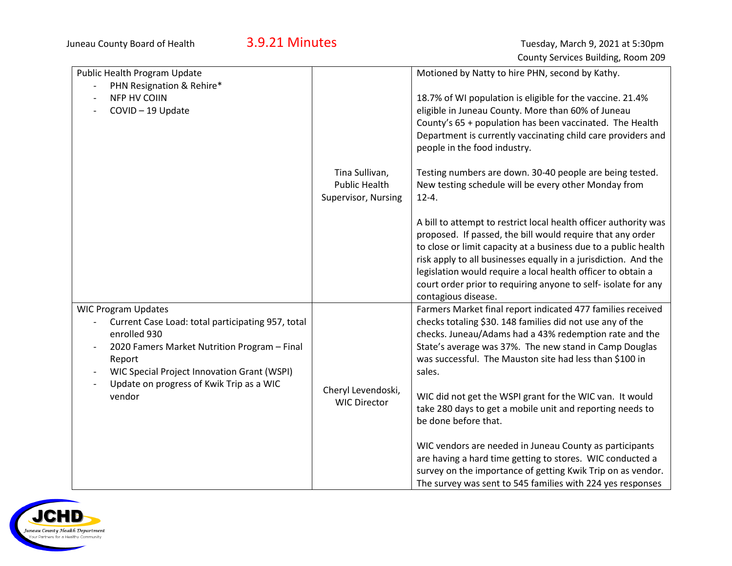| Public Health Program Update                                                  |                      | Motioned by Natty to hire PHN, second by Kathy.                  |
|-------------------------------------------------------------------------------|----------------------|------------------------------------------------------------------|
| PHN Resignation & Rehire*                                                     |                      |                                                                  |
| <b>NFP HV COIIN</b>                                                           |                      | 18.7% of WI population is eligible for the vaccine. 21.4%        |
| COVID-19 Update                                                               |                      | eligible in Juneau County. More than 60% of Juneau               |
|                                                                               |                      | County's 65 + population has been vaccinated. The Health         |
|                                                                               |                      | Department is currently vaccinating child care providers and     |
|                                                                               |                      | people in the food industry.                                     |
|                                                                               |                      |                                                                  |
|                                                                               | Tina Sullivan,       | Testing numbers are down. 30-40 people are being tested.         |
|                                                                               | <b>Public Health</b> | New testing schedule will be every other Monday from             |
|                                                                               | Supervisor, Nursing  | $12 - 4.$                                                        |
|                                                                               |                      |                                                                  |
|                                                                               |                      | A bill to attempt to restrict local health officer authority was |
|                                                                               |                      | proposed. If passed, the bill would require that any order       |
|                                                                               |                      | to close or limit capacity at a business due to a public health  |
|                                                                               |                      | risk apply to all businesses equally in a jurisdiction. And the  |
|                                                                               |                      | legislation would require a local health officer to obtain a     |
|                                                                               |                      | court order prior to requiring anyone to self- isolate for any   |
|                                                                               |                      | contagious disease.                                              |
| <b>WIC Program Updates</b>                                                    |                      | Farmers Market final report indicated 477 families received      |
| Current Case Load: total participating 957, total<br>$\overline{\phantom{a}}$ |                      | checks totaling \$30. 148 families did not use any of the        |
| enrolled 930                                                                  |                      | checks. Juneau/Adams had a 43% redemption rate and the           |
| 2020 Famers Market Nutrition Program - Final                                  |                      | State's average was 37%. The new stand in Camp Douglas           |
| Report                                                                        |                      | was successful. The Mauston site had less than \$100 in          |
| WIC Special Project Innovation Grant (WSPI)                                   |                      | sales.                                                           |
| Update on progress of Kwik Trip as a WIC<br>vendor                            | Cheryl Levendoski,   | WIC did not get the WSPI grant for the WIC van. It would         |
|                                                                               | <b>WIC Director</b>  | take 280 days to get a mobile unit and reporting needs to        |
|                                                                               |                      | be done before that.                                             |
|                                                                               |                      |                                                                  |
|                                                                               |                      | WIC vendors are needed in Juneau County as participants          |
|                                                                               |                      | are having a hard time getting to stores. WIC conducted a        |
|                                                                               |                      | survey on the importance of getting Kwik Trip on as vendor.      |
|                                                                               |                      | The survey was sent to 545 families with 224 yes responses       |